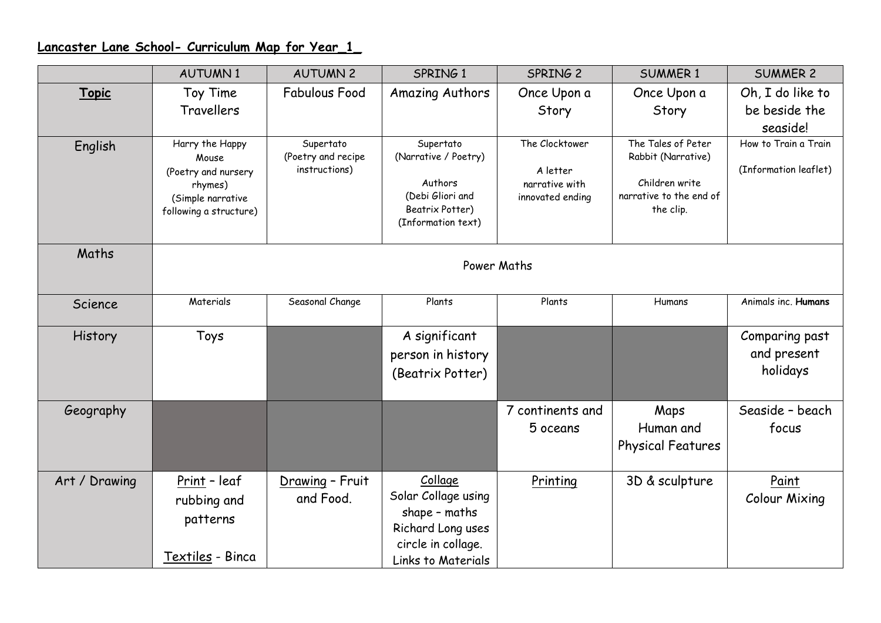## **Lancaster Lane School- Curriculum Map for Year\_1\_**

|                | <b>AUTUMN1</b>               | <b>AUTUMN 2</b>                 | SPRING 1                                | SPRING <sub>2</sub> | <b>SUMMER 1</b>                          | <b>SUMMER 2</b>       |  |  |
|----------------|------------------------------|---------------------------------|-----------------------------------------|---------------------|------------------------------------------|-----------------------|--|--|
| <b>Topic</b>   | Toy Time                     | <b>Fabulous Food</b>            | <b>Amazing Authors</b>                  | Once Upon a         | Once Upon a                              | Oh, I do like to      |  |  |
|                | Travellers                   |                                 |                                         | Story               | Story                                    | be beside the         |  |  |
|                |                              |                                 |                                         |                     |                                          | seaside!              |  |  |
| English        | Harry the Happy              | Supertato<br>(Poetry and recipe | Supertato<br>(Narrative / Poetry)       | The Clocktower      | The Tales of Peter<br>Rabbit (Narrative) | How to Train a Train  |  |  |
|                | Mouse<br>(Poetry and nursery | instructions)                   |                                         | A letter            |                                          | (Information leaflet) |  |  |
|                | rhymes)                      |                                 | Authors                                 | narrative with      | Children write                           |                       |  |  |
|                | (Simple narrative            |                                 | (Debi Gliori and<br>Beatrix Potter)     | innovated ending    | narrative to the end of<br>the clip.     |                       |  |  |
|                | following a structure)       |                                 | (Information text)                      |                     |                                          |                       |  |  |
|                |                              |                                 |                                         |                     |                                          |                       |  |  |
| Maths          |                              |                                 |                                         |                     |                                          |                       |  |  |
|                | Power Maths                  |                                 |                                         |                     |                                          |                       |  |  |
| Science        | Materials                    | Seasonal Change                 | Plants                                  | Plants              | Humans                                   | Animals inc. Humans   |  |  |
|                |                              |                                 |                                         |                     |                                          |                       |  |  |
| <b>History</b> | Toys                         |                                 | A significant                           |                     |                                          | Comparing past        |  |  |
|                |                              |                                 | person in history                       |                     |                                          | and present           |  |  |
|                |                              |                                 | (Beatrix Potter)                        |                     |                                          | holidays              |  |  |
|                |                              |                                 |                                         |                     |                                          |                       |  |  |
| Geography      |                              |                                 |                                         | 7 continents and    | Maps                                     | Seaside - beach       |  |  |
|                |                              |                                 |                                         | 5 oceans            | Human and                                | focus                 |  |  |
|                |                              |                                 |                                         |                     | Physical Features                        |                       |  |  |
|                |                              |                                 |                                         |                     |                                          |                       |  |  |
| Art / Drawing  | Print - leaf                 | Drawing - Fruit                 | Collage                                 | Printing            | 3D & sculpture                           | Paint                 |  |  |
|                | rubbing and                  | and Food.                       | Solar Collage using                     |                     |                                          | <b>Colour Mixing</b>  |  |  |
|                | patterns                     |                                 | shape - maths                           |                     |                                          |                       |  |  |
|                |                              |                                 | Richard Long uses<br>circle in collage. |                     |                                          |                       |  |  |
|                | Textiles - Binca             |                                 | <b>Links to Materials</b>               |                     |                                          |                       |  |  |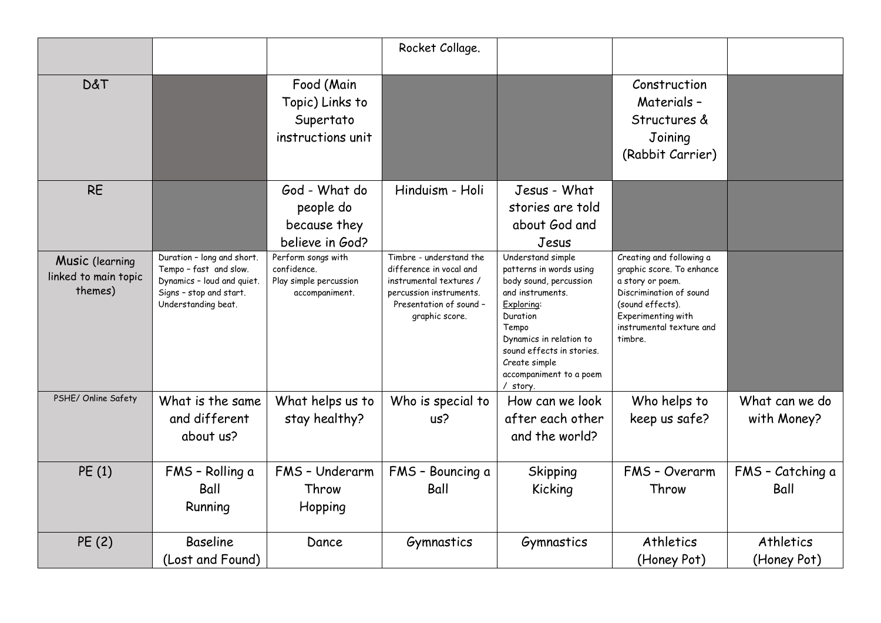|                                                    |                                                                                                                                      |                                                                               | Rocket Collage.                                                                                                                                       |                                                                                                                                                                                                                                               |                                                                                                                                                                                       |                               |
|----------------------------------------------------|--------------------------------------------------------------------------------------------------------------------------------------|-------------------------------------------------------------------------------|-------------------------------------------------------------------------------------------------------------------------------------------------------|-----------------------------------------------------------------------------------------------------------------------------------------------------------------------------------------------------------------------------------------------|---------------------------------------------------------------------------------------------------------------------------------------------------------------------------------------|-------------------------------|
| <b>D&amp;T</b>                                     |                                                                                                                                      | Food (Main<br>Topic) Links to<br>Supertato<br>instructions unit               |                                                                                                                                                       |                                                                                                                                                                                                                                               | Construction<br>Materials -<br>Structures &<br>Joining<br>(Rabbit Carrier)                                                                                                            |                               |
| <b>RE</b>                                          |                                                                                                                                      | God - What do<br>people do<br>because they<br>believe in God?                 | Hinduism - Holi                                                                                                                                       | Jesus - What<br>stories are told<br>about God and<br>Jesus                                                                                                                                                                                    |                                                                                                                                                                                       |                               |
| Music (learning<br>linked to main topic<br>themes) | Duration - long and short.<br>Tempo - fast and slow.<br>Dynamics - loud and quiet.<br>Signs - stop and start.<br>Understanding beat. | Perform songs with<br>confidence.<br>Play simple percussion<br>accompaniment. | Timbre - understand the<br>difference in vocal and<br>instrumental textures /<br>percussion instruments.<br>Presentation of sound -<br>graphic score. | Understand simple<br>patterns in words using<br>body sound, percussion<br>and instruments.<br>Exploring:<br>Duration<br>Tempo<br>Dynamics in relation to<br>sound effects in stories.<br>Create simple<br>accompaniment to a poem<br>/ story. | Creating and following a<br>graphic score. To enhance<br>a story or poem.<br>Discrimination of sound<br>(sound effects).<br>Experimenting with<br>instrumental texture and<br>timbre. |                               |
| PSHE/ Online Safety                                | What is the same<br>and different<br>about us?                                                                                       | What helps us to<br>stay healthy?                                             | Who is special to<br>us?                                                                                                                              | How can we look<br>after each other<br>and the world?                                                                                                                                                                                         | Who helps to<br>keep us safe?                                                                                                                                                         | What can we do<br>with Money? |
| PE(1)                                              | FMS - Rolling a<br>Ball<br>Running                                                                                                   | FMS - Underarm<br>Throw<br>Hopping                                            | FMS - Bouncing a<br>Ball                                                                                                                              | Skipping<br>Kicking                                                                                                                                                                                                                           | FMS - Overarm<br>Throw                                                                                                                                                                | FMS - Catching a<br>Ball      |
| PE (2)                                             | <b>Baseline</b><br>(Lost and Found)                                                                                                  | Dance                                                                         | Gymnastics                                                                                                                                            | Gymnastics                                                                                                                                                                                                                                    | Athletics<br>(Honey Pot)                                                                                                                                                              | Athletics<br>(Honey Pot)      |